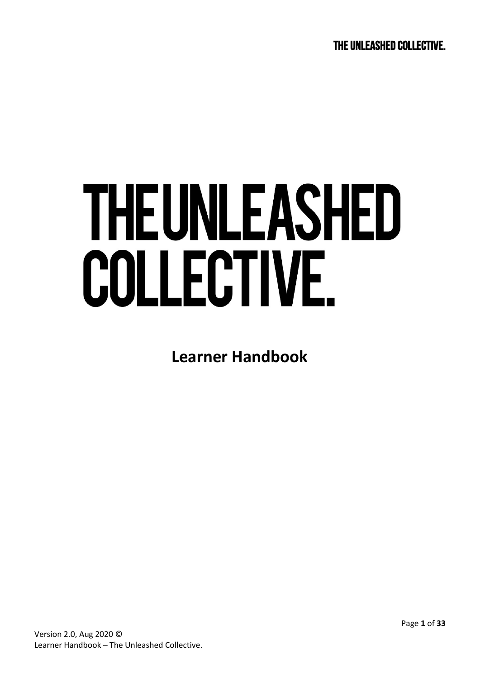# **THEUNLEASHED** COLLECTIVE.

**Learner Handbook**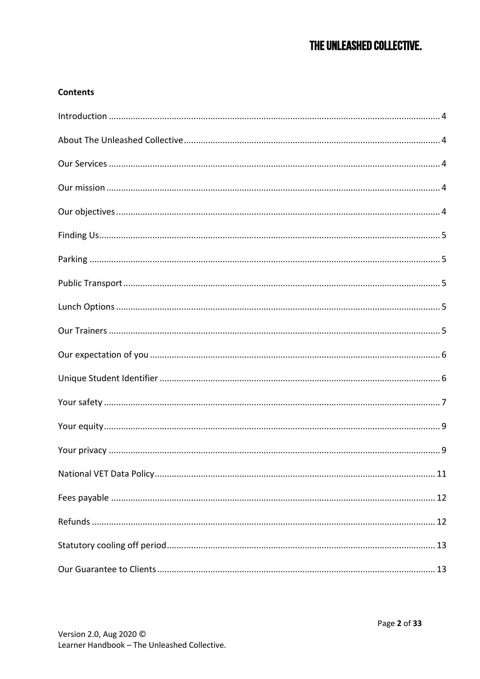# THE UNLEASHED COLLECTIVE.

## **Contents**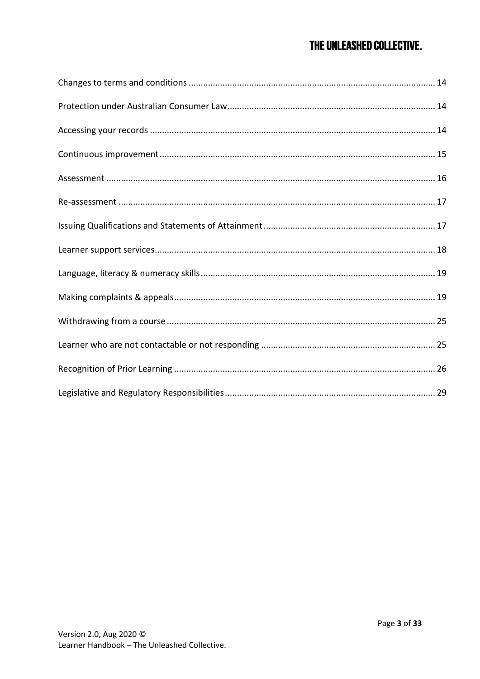## THE UNLEASHED COLLECTIVE.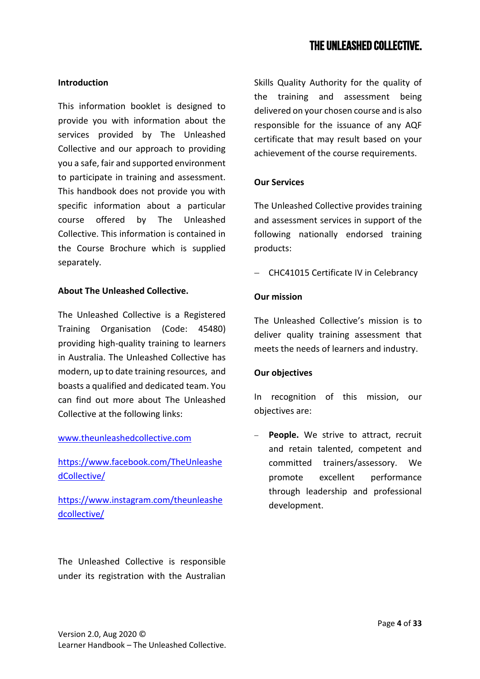#### <span id="page-3-0"></span>**Introduction**

This information booklet is designed to provide you with information about the services provided by The Unleashed Collective and our approach to providing you a safe, fair and supported environment to participate in training and assessment. This handbook does not provide you with specific information about a particular course offered by The Unleashed Collective. This information is contained in the Course Brochure which is supplied separately.

#### <span id="page-3-1"></span>**About The Unleashed Collective.**

The Unleashed Collective is a Registered Training Organisation (Code: 45480) providing high-quality training to learners in Australia. The Unleashed Collective has modern, up to date training resources, and boasts a qualified and dedicated team. You can find out more about The Unleashed Collective at the following links:

## [www.theunleashedcollective.com](http://www.theunleashedcollective.com/)

[https://www.facebook.com/TheUnleashe](https://www.facebook.com/TheUnleashedCollective/) [dCollective/](https://www.facebook.com/TheUnleashedCollective/)

[https://www.instagram.com/theunleashe](https://www.instagram.com/theunleashedcollective/) [dcollective/](https://www.instagram.com/theunleashedcollective/)

The Unleashed Collective is responsible under its registration with the Australian

Skills Quality Authority for the quality of the training and assessment being delivered on your chosen course and is also responsible for the issuance of any AQF certificate that may result based on your achievement of the course requirements.

## <span id="page-3-2"></span>**Our Services**

The Unleashed Collective provides training and assessment services in support of the following nationally endorsed training products:

− CHC41015 Certificate IV in Celebrancy

#### <span id="page-3-3"></span>**Our mission**

The Unleashed Collective's mission is to deliver quality training assessment that meets the needs of learners and industry.

#### <span id="page-3-4"></span>**Our objectives**

In recognition of this mission, our objectives are:

People. We strive to attract, recruit and retain talented, competent and committed trainers/assessory. We promote excellent performance through leadership and professional development.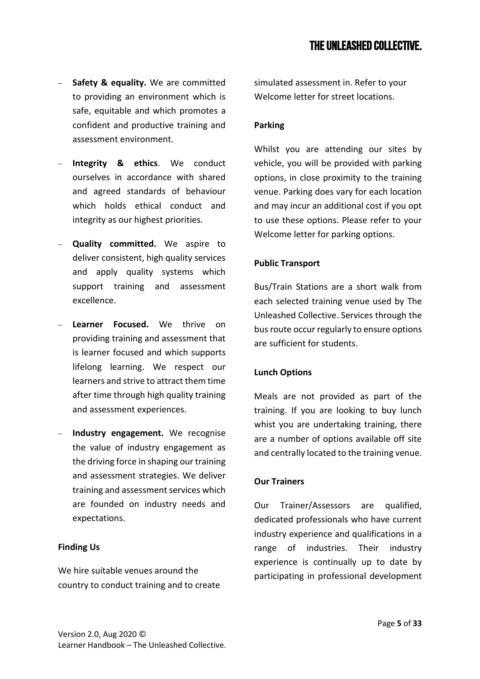- − **Safety & equality.** We are committed to providing an environment which is safe, equitable and which promotes a confident and productive training and assessment environment.
- − **Integrity & ethics**. We conduct ourselves in accordance with shared and agreed standards of behaviour which holds ethical conduct and integrity as our highest priorities.
- − **Quality committed.** We aspire to deliver consistent, high quality services and apply quality systems which support training and assessment excellence.
- − **Learner Focused.** We thrive on providing training and assessment that is learner focused and which supports lifelong learning. We respect our learners and strive to attract them time after time through high quality training and assessment experiences.
- **Industry engagement.** We recognise the value of industry engagement as the driving force in shaping our training and assessment strategies. We deliver training and assessment services which are founded on industry needs and expectations.

## <span id="page-4-0"></span>**Finding Us**

We hire suitable venues around the country to conduct training and to create simulated assessment in. Refer to your Welcome letter for street locations.

## <span id="page-4-1"></span>**Parking**

Whilst you are attending our sites by vehicle, you will be provided with parking options, in close proximity to the training venue. Parking does vary for each location and may incur an additional cost if you opt to use these options. Please refer to your Welcome letter for parking options.

## <span id="page-4-2"></span>**Public Transport**

Bus/Train Stations are a short walk from each selected training venue used by The Unleashed Collective. Services through the bus route occur regularly to ensure options are sufficient for students.

## <span id="page-4-3"></span>**Lunch Options**

Meals are not provided as part of the training. If you are looking to buy lunch whist you are undertaking training, there are a number of options available off site and centrally located to the training venue.

## <span id="page-4-4"></span>**Our Trainers**

Our Trainer/Assessors are qualified, dedicated professionals who have current industry experience and qualifications in a range of industries. Their industry experience is continually up to date by participating in professional development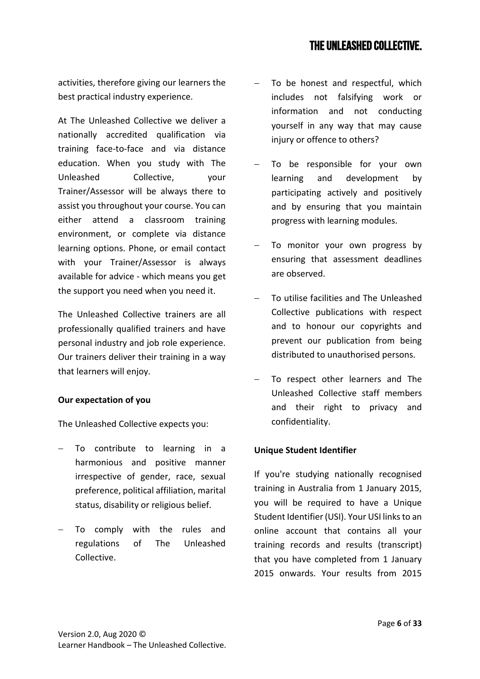activities, therefore giving our learners the best practical industry experience.

At The Unleashed Collective we deliver a nationally accredited qualification via training face-to-face and via distance education. When you study with The Unleashed Collective, your Trainer/Assessor will be always there to assist you throughout your course. You can either attend a classroom training environment, or complete via distance learning options. Phone, or email contact with your Trainer/Assessor is always available for advice - which means you get the support you need when you need it.

The Unleashed Collective trainers are all professionally qualified trainers and have personal industry and job role experience. Our trainers deliver their training in a way that learners will enjoy.

## <span id="page-5-0"></span>**Our expectation of you**

The Unleashed Collective expects you:

- To contribute to learning in a harmonious and positive manner irrespective of gender, race, sexual preference, political affiliation, marital status, disability or religious belief.
- To comply with the rules and regulations of The Unleashed Collective.
- − To be honest and respectful, which includes not falsifying work or information and not conducting yourself in any way that may cause injury or offence to others?
- To be responsible for your own learning and development by participating actively and positively and by ensuring that you maintain progress with learning modules.
- To monitor your own progress by ensuring that assessment deadlines are observed.
- − To utilise facilities and The Unleashed Collective publications with respect and to honour our copyrights and prevent our publication from being distributed to unauthorised persons.
- To respect other learners and The Unleashed Collective staff members and their right to privacy and confidentiality.

## <span id="page-5-1"></span>**Unique Student Identifier**

If you're studying nationally recognised training in Australia from 1 January 2015, you will be required to have a Unique Student Identifier (USI). Your USI links to an online account that contains all your training records and results (transcript) that you have completed from 1 January 2015 onwards. Your results from 2015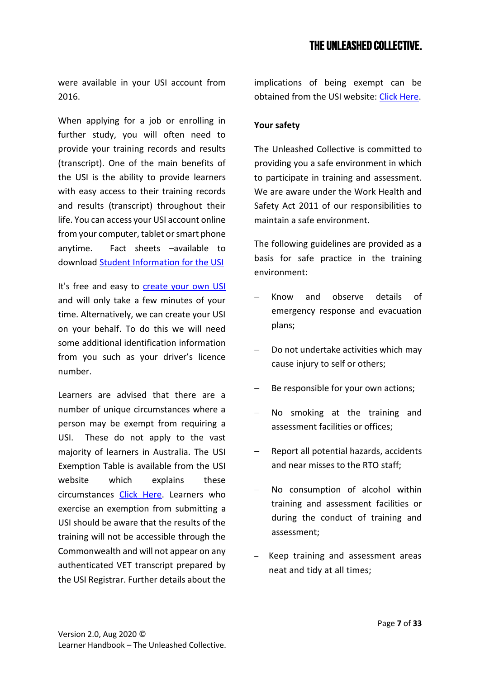were available in your USI account from 2016.

When applying for a job or enrolling in further study, you will often need to provide your training records and results (transcript). One of the main benefits of the USI is the ability to provide learners with easy access to their training records and results (transcript) throughout their life. You can access your USI account online from your computer, tablet or smart phone anytime. Fact sheets –available to download [Student Information for the USI](http://www.usi.gov.au/Training-Organisations/Documents/FactSheet-Student-Information-for-the-USI.pdf)

It's free and easy to [create your own USI](http://www.usi.gov.au/create-your-USI/Pages/default.aspx) and will only take a few minutes of your time. Alternatively, we can create your USI on your behalf. To do this we will need some additional identification information from you such as your driver's licence number.

Learners are advised that there are a number of unique circumstances where a person may be exempt from requiring a USI. These do not apply to the vast majority of learners in Australia. The USI Exemption Table is available from the USI website which explains these circumstances [Click Here.](https://www.usi.gov.au/training-organisations/training-organisation-requirements/exemptions-individuals) Learners who exercise an exemption from submitting a USI should be aware that the results of the training will not be accessible through the Commonwealth and will not appear on any authenticated VET transcript prepared by the USI Registrar. Further details about the implications of being exempt can be obtained from the USI website: [Click Here.](https://www.usi.gov.au/faqs/what-are-implications-being-exempt)

## <span id="page-6-0"></span>**Your safety**

The Unleashed Collective is committed to providing you a safe environment in which to participate in training and assessment. We are aware under the Work Health and Safety Act 2011 of our responsibilities to maintain a safe environment.

The following guidelines are provided as a basis for safe practice in the training environment:

- − Know and observe details of emergency response and evacuation plans;
- − Do not undertake activities which may cause injury to self or others;
- Be responsible for your own actions;
- No smoking at the training and assessment facilities or offices;
- − Report all potential hazards, accidents and near misses to the RTO staff;
- No consumption of alcohol within training and assessment facilities or during the conduct of training and assessment;
- Keep training and assessment areas neat and tidy at all times;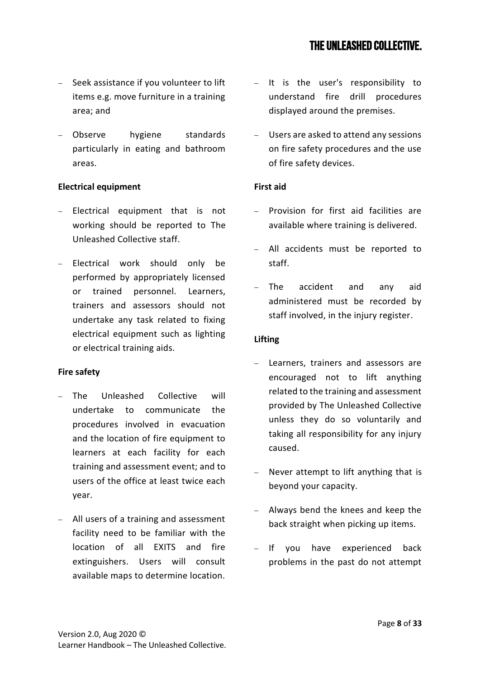- − Seek assistance if you volunteer to lift items e.g. move furniture in a training area; and
- − Observe hygiene standards particularly in eating and bathroom areas.

## **Electrical equipment**

- − Electrical equipment that is not working should be reported to The Unleashed Collective staff.
- Electrical work should only be performed by appropriately licensed or trained personnel. Learners, trainers and assessors should not undertake any task related to fixing electrical equipment such as lighting or electrical training aids.

## **Fire safety**

- The Unleashed Collective will undertake to communicate the procedures involved in evacuation and the location of fire equipment to learners at each facility for each training and assessment event; and to users of the office at least twice each year.
- − All users of a training and assessment facility need to be familiar with the location of all EXITS and fire extinguishers. Users will consult available maps to determine location.
- − It is the user's responsibility to understand fire drill procedures displayed around the premises.
- Users are asked to attend any sessions on fire safety procedures and the use of fire safety devices.

## **First aid**

- − Provision for first aid facilities are available where training is delivered.
- All accidents must be reported to staff.
- − The accident and any aid administered must be recorded by staff involved, in the injury register.

## **Lifting**

- − Learners, trainers and assessors are encouraged not to lift anything related to the training and assessment provided by The Unleashed Collective unless they do so voluntarily and taking all responsibility for any injury caused.
- Never attempt to lift anything that is beyond your capacity.
- − Always bend the knees and keep the back straight when picking up items.
- − If you have experienced back problems in the past do not attempt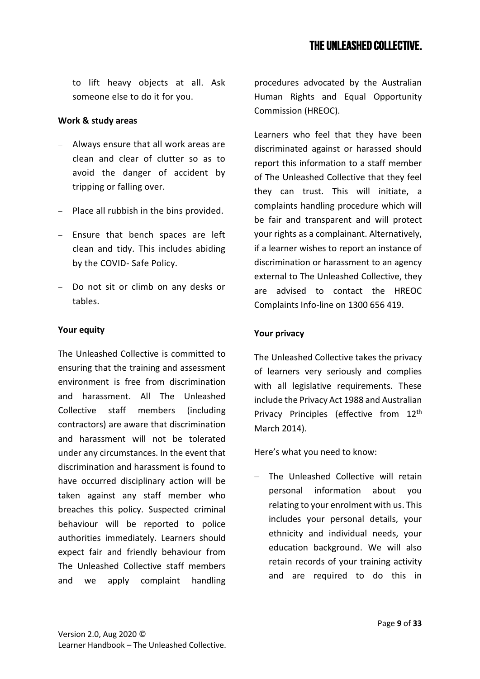to lift heavy objects at all. Ask someone else to do it for you.

## **Work & study areas**

- − Always ensure that all work areas are clean and clear of clutter so as to avoid the danger of accident by tripping or falling over.
- − Place all rubbish in the bins provided.
- − Ensure that bench spaces are left clean and tidy. This includes abiding by the COVID- Safe Policy.
- Do not sit or climb on any desks or tables.

## <span id="page-8-0"></span>**Your equity**

The Unleashed Collective is committed to ensuring that the training and assessment environment is free from discrimination and harassment. All The Unleashed Collective staff members (including contractors) are aware that discrimination and harassment will not be tolerated under any circumstances. In the event that discrimination and harassment is found to have occurred disciplinary action will be taken against any staff member who breaches this policy. Suspected criminal behaviour will be reported to police authorities immediately. Learners should expect fair and friendly behaviour from The Unleashed Collective staff members and we apply complaint handling procedures advocated by the Australian Human Rights and Equal Opportunity Commission (HREOC).

Learners who feel that they have been discriminated against or harassed should report this information to a staff member of The Unleashed Collective that they feel they can trust. This will initiate, a complaints handling procedure which will be fair and transparent and will protect your rights as a complainant. Alternatively, if a learner wishes to report an instance of discrimination or harassment to an agency external to The Unleashed Collective, they are advised to contact the HREOC Complaints Info-line on 1300 656 419.

## <span id="page-8-1"></span>**Your privacy**

The Unleashed Collective takes the privacy of learners very seriously and complies with all legislative requirements. These include the Privacy Act 1988 and Australian Privacy Principles (effective from 12<sup>th</sup> March 2014).

Here's what you need to know:

− The Unleashed Collective will retain personal information about you relating to your enrolment with us. This includes your personal details, your ethnicity and individual needs, your education background. We will also retain records of your training activity and are required to do this in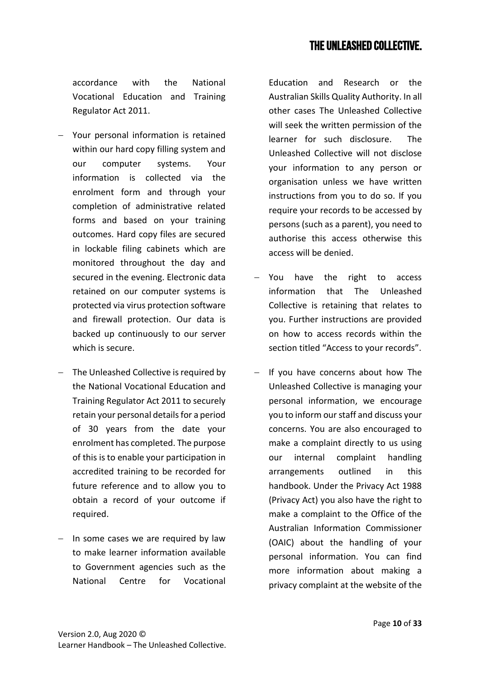accordance with the National Vocational Education and Training Regulator Act 2011.

- − Your personal information is retained within our hard copy filling system and our computer systems. Your information is collected via the enrolment form and through your completion of administrative related forms and based on your training outcomes. Hard copy files are secured in lockable filing cabinets which are monitored throughout the day and secured in the evening. Electronic data retained on our computer systems is protected via virus protection software and firewall protection. Our data is backed up continuously to our server which is secure.
- − The Unleashed Collective is required by the National Vocational Education and Training Regulator Act 2011 to securely retain your personal details for a period of 30 years from the date your enrolment has completed. The purpose of this is to enable your participation in accredited training to be recorded for future reference and to allow you to obtain a record of your outcome if required.
- − In some cases we are required by law to make learner information available to Government agencies such as the National Centre for Vocational

Education and Research or the Australian Skills Quality Authority. In all other cases The Unleashed Collective will seek the written permission of the learner for such disclosure. The Unleashed Collective will not disclose your information to any person or organisation unless we have written instructions from you to do so. If you require your records to be accessed by persons (such as a parent), you need to authorise this access otherwise this access will be denied.

- − You have the right to access information that The Unleashed Collective is retaining that relates to you. Further instructions are provided on how to access records within the section titled "Access to your records".
- If you have concerns about how The Unleashed Collective is managing your personal information, we encourage you to inform our staff and discuss your concerns. You are also encouraged to make a complaint directly to us using our internal complaint handling arrangements outlined in this handbook. Under the Privacy Act 1988 (Privacy Act) you also have the right to make a complaint to the Office of the Australian Information Commissioner (OAIC) about the handling of your personal information. You can find more information about making a privacy complaint at the website of the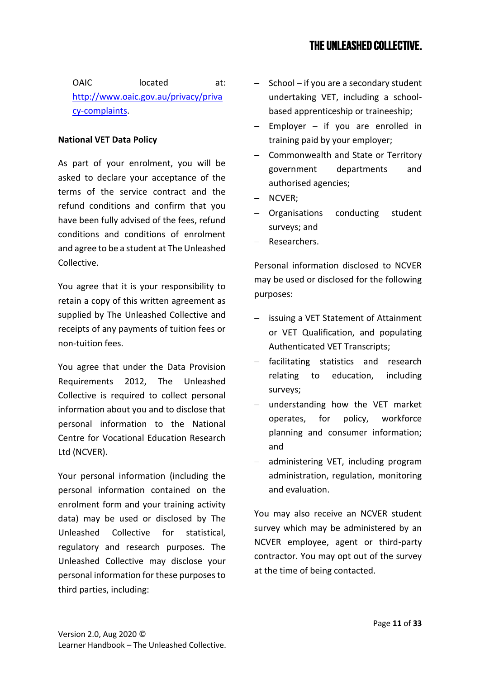OAIC located at: [http://www.oaic.gov.au/privacy/priva](http://www.oaic.gov.au/privacy/privacy-complaints) [cy-complaints.](http://www.oaic.gov.au/privacy/privacy-complaints)

## <span id="page-10-0"></span>**National VET Data Policy**

As part of your enrolment, you will be asked to declare your acceptance of the terms of the service contract and the refund conditions and confirm that you have been fully advised of the fees, refund conditions and conditions of enrolment and agree to be a student at The Unleashed Collective.

You agree that it is your responsibility to retain a copy of this written agreement as supplied by The Unleashed Collective and receipts of any payments of tuition fees or non-tuition fees.

You agree that under the Data Provision Requirements 2012, The Unleashed Collective is required to collect personal information about you and to disclose that personal information to the National Centre for Vocational Education Research Ltd (NCVER).

Your personal information (including the personal information contained on the enrolment form and your training activity data) may be used or disclosed by The Unleashed Collective for statistical, regulatory and research purposes. The Unleashed Collective may disclose your personal information for these purposes to third parties, including:

- − School if you are a secondary student undertaking VET, including a schoolbased apprenticeship or traineeship;
- Employer  $-$  if you are enrolled in training paid by your employer;
- − Commonwealth and State or Territory government departments and authorised agencies;
- − NCVER;
- Organisations conducting student surveys; and
- − Researchers.

Personal information disclosed to NCVER may be used or disclosed for the following purposes:

- − issuing a VET Statement of Attainment or VET Qualification, and populating Authenticated VET Transcripts;
- − facilitating statistics and research relating to education, including surveys;
- understanding how the VET market operates, for policy, workforce planning and consumer information; and
- administering VET, including program administration, regulation, monitoring and evaluation.

You may also receive an NCVER student survey which may be administered by an NCVER employee, agent or third-party contractor. You may opt out of the survey at the time of being contacted.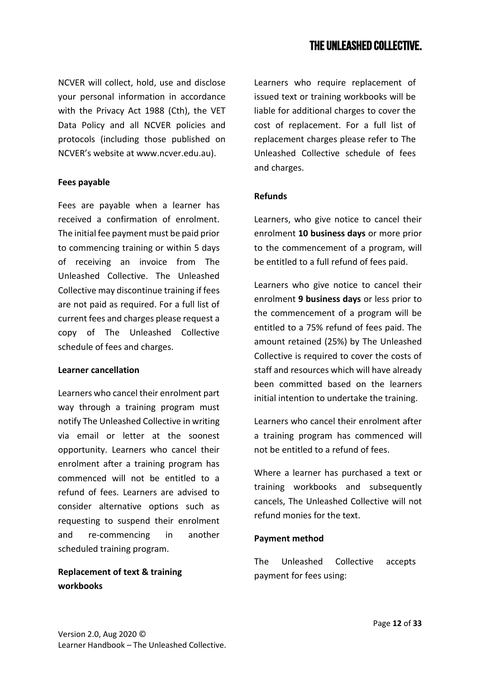NCVER will collect, hold, use and disclose your personal information in accordance with the Privacy Act 1988 (Cth), the VET Data Policy and all NCVER policies and protocols (including those published on NCVER's website at www.ncver.edu.au).

#### <span id="page-11-0"></span>**Fees payable**

Fees are payable when a learner has received a confirmation of enrolment. The initial fee payment must be paid prior to commencing training or within 5 days of receiving an invoice from The Unleashed Collective. The Unleashed Collective may discontinue training if fees are not paid as required. For a full list of current fees and charges please request a copy of The Unleashed Collective schedule of fees and charges.

#### **Learner cancellation**

Learners who cancel their enrolment part way through a training program must notify The Unleashed Collective in writing via email or letter at the soonest opportunity. Learners who cancel their enrolment after a training program has commenced will not be entitled to a refund of fees. Learners are advised to consider alternative options such as requesting to suspend their enrolment and re-commencing in another scheduled training program.

**Replacement of text & training workbooks**

Learners who require replacement of issued text or training workbooks will be liable for additional charges to cover the cost of replacement. For a full list of replacement charges please refer to The Unleashed Collective schedule of fees and charges.

## <span id="page-11-1"></span>**Refunds**

Learners, who give notice to cancel their enrolment **10 business days** or more prior to the commencement of a program, will be entitled to a full refund of fees paid.

Learners who give notice to cancel their enrolment **9 business days** or less prior to the commencement of a program will be entitled to a 75% refund of fees paid. The amount retained (25%) by The Unleashed Collective is required to cover the costs of staff and resources which will have already been committed based on the learners initial intention to undertake the training.

Learners who cancel their enrolment after a training program has commenced will not be entitled to a refund of fees.

Where a learner has purchased a text or training workbooks and subsequently cancels, The Unleashed Collective will not refund monies for the text.

## **Payment method**

The Unleashed Collective accepts payment for fees using: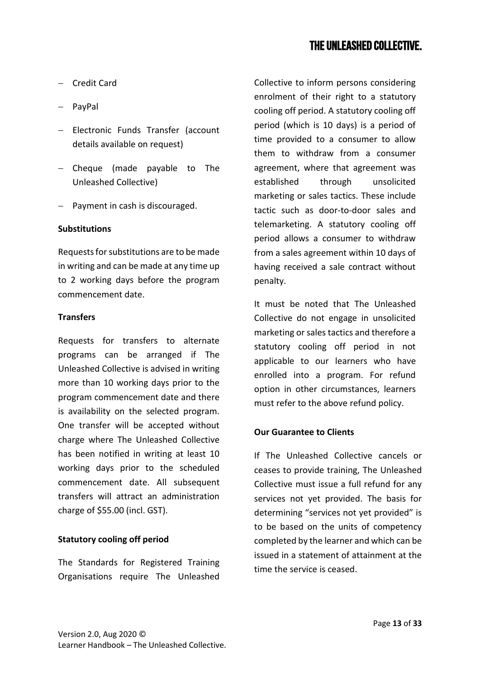- − Credit Card
- − PayPal
- − Electronic Funds Transfer (account details available on request)
- − Cheque (made payable to The Unleashed Collective)
- − Payment in cash is discouraged.

#### **Substitutions**

Requests for substitutions are to be made in writing and can be made at any time up to 2 working days before the program commencement date.

#### **Transfers**

Requests for transfers to alternate programs can be arranged if The Unleashed Collective is advised in writing more than 10 working days prior to the program commencement date and there is availability on the selected program. One transfer will be accepted without charge where The Unleashed Collective has been notified in writing at least 10 working days prior to the scheduled commencement date. All subsequent transfers will attract an administration charge of \$55.00 (incl. GST).

#### <span id="page-12-0"></span>**Statutory cooling off period**

The Standards for Registered Training Organisations require The Unleashed

Collective to inform persons considering enrolment of their right to a statutory cooling off period. A statutory cooling off period (which is 10 days) is a period of time provided to a consumer to allow them to withdraw from a consumer agreement, where that agreement was established through unsolicited marketing or sales tactics. These include tactic such as door-to-door sales and telemarketing. A statutory cooling off period allows a consumer to withdraw from a sales agreement within 10 days of having received a sale contract without penalty.

It must be noted that The Unleashed Collective do not engage in unsolicited marketing or sales tactics and therefore a statutory cooling off period in not applicable to our learners who have enrolled into a program. For refund option in other circumstances, learners must refer to the above refund policy.

#### <span id="page-12-1"></span>**Our Guarantee to Clients**

If The Unleashed Collective cancels or ceases to provide training, The Unleashed Collective must issue a full refund for any services not yet provided. The basis for determining "services not yet provided" is to be based on the units of competency completed by the learner and which can be issued in a statement of attainment at the time the service is ceased.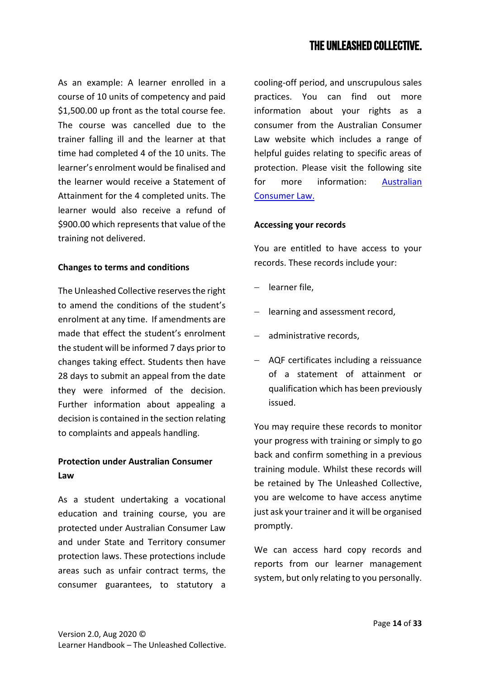As an example: A learner enrolled in a course of 10 units of competency and paid \$1,500.00 up front as the total course fee. The course was cancelled due to the trainer falling ill and the learner at that time had completed 4 of the 10 units. The learner's enrolment would be finalised and the learner would receive a Statement of Attainment for the 4 completed units. The learner would also receive a refund of \$900.00 which represents that value of the training not delivered.

#### <span id="page-13-0"></span>**Changes to terms and conditions**

The Unleashed Collective reserves the right to amend the conditions of the student's enrolment at any time. If amendments are made that effect the student's enrolment the student will be informed 7 days prior to changes taking effect. Students then have 28 days to submit an appeal from the date they were informed of the decision. Further information about appealing a decision is contained in the section relating to complaints and appeals handling.

## <span id="page-13-1"></span>**Protection under Australian Consumer Law**

As a student undertaking a vocational education and training course, you are protected under Australian Consumer Law and under State and Territory consumer protection laws. These protections include areas such as unfair contract terms, the consumer guarantees, to statutory a cooling-off period, and unscrupulous sales practices. You can find out more information about your rights as a consumer from the Australian Consumer Law website which includes a range of helpful guides relating to specific areas of protection. Please visit the following site for more information: [Australian](http://consumerlaw.gov.au/consumers-and-the-acl/)  [Consumer Law.](http://consumerlaw.gov.au/consumers-and-the-acl/)

#### <span id="page-13-2"></span>**Accessing your records**

You are entitled to have access to your records. These records include your:

- − learner file,
- − learning and assessment record,
- − administrative records,
- − AQF certificates including a reissuance of a statement of attainment or qualification which has been previously issued.

You may require these records to monitor your progress with training or simply to go back and confirm something in a previous training module. Whilst these records will be retained by The Unleashed Collective, you are welcome to have access anytime just ask your trainer and it will be organised promptly.

We can access hard copy records and reports from our learner management system, but only relating to you personally.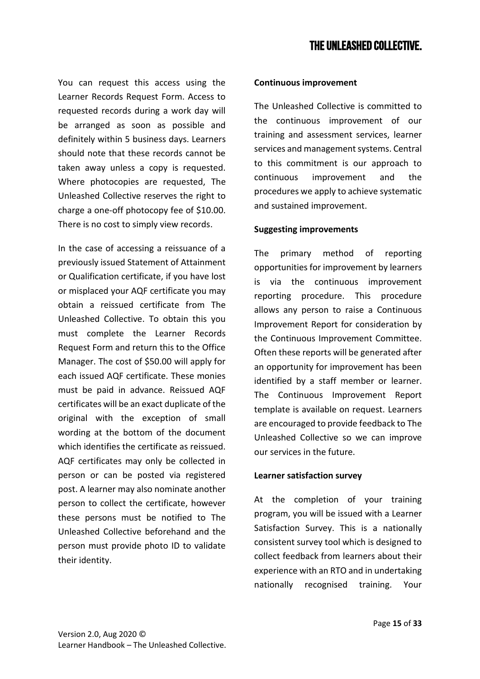You can request this access using the Learner Records Request Form. Access to requested records during a work day will be arranged as soon as possible and definitely within 5 business days. Learners should note that these records cannot be taken away unless a copy is requested. Where photocopies are requested, The Unleashed Collective reserves the right to charge a one-off photocopy fee of \$10.00. There is no cost to simply view records.

In the case of accessing a reissuance of a previously issued Statement of Attainment or Qualification certificate, if you have lost or misplaced your AQF certificate you may obtain a reissued certificate from The Unleashed Collective. To obtain this you must complete the Learner Records Request Form and return this to the Office Manager. The cost of \$50.00 will apply for each issued AQF certificate. These monies must be paid in advance. Reissued AQF certificates will be an exact duplicate of the original with the exception of small wording at the bottom of the document which identifies the certificate as reissued. AQF certificates may only be collected in person or can be posted via registered post. A learner may also nominate another person to collect the certificate, however these persons must be notified to The Unleashed Collective beforehand and the person must provide photo ID to validate their identity.

## <span id="page-14-0"></span>**Continuous improvement**

The Unleashed Collective is committed to the continuous improvement of our training and assessment services, learner services and management systems. Central to this commitment is our approach to continuous improvement and the procedures we apply to achieve systematic and sustained improvement.

## **Suggesting improvements**

The primary method of reporting opportunities for improvement by learners is via the continuous improvement reporting procedure. This procedure allows any person to raise a Continuous Improvement Report for consideration by the Continuous Improvement Committee. Often these reports will be generated after an opportunity for improvement has been identified by a staff member or learner. The Continuous Improvement Report template is available on request. Learners are encouraged to provide feedback to The Unleashed Collective so we can improve our services in the future.

## **Learner satisfaction survey**

At the completion of your training program, you will be issued with a Learner Satisfaction Survey. This is a nationally consistent survey tool which is designed to collect feedback from learners about their experience with an RTO and in undertaking nationally recognised training. Your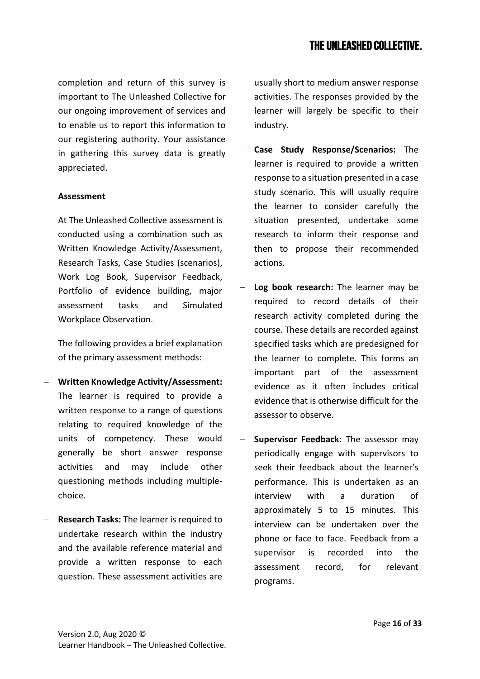completion and return of this survey is important to The Unleashed Collective for our ongoing improvement of services and to enable us to report this information to our registering authority. Your assistance in gathering this survey data is greatly appreciated.

#### <span id="page-15-0"></span>**Assessment**

At The Unleashed Collective assessment is conducted using a combination such as Written Knowledge Activity/Assessment, Research Tasks, Case Studies (scenarios), Work Log Book, Supervisor Feedback, Portfolio of evidence building, major assessment tasks and Simulated Workplace Observation.

The following provides a brief explanation of the primary assessment methods:

- − **Written Knowledge Activity/Assessment:**  The learner is required to provide a written response to a range of questions relating to required knowledge of the units of competency. These would generally be short answer response activities and may include other questioning methods including multiplechoice.
- − **Research Tasks:** The learner is required to undertake research within the industry and the available reference material and provide a written response to each question. These assessment activities are

usually short to medium answer response activities. The responses provided by the learner will largely be specific to their industry.

- − **Case Study Response/Scenarios:** The learner is required to provide a written response to a situation presented in a case study scenario. This will usually require the learner to consider carefully the situation presented, undertake some research to inform their response and then to propose their recommended actions.
- **Log book research:** The learner may be required to record details of their research activity completed during the course. These details are recorded against specified tasks which are predesigned for the learner to complete. This forms an important part of the assessment evidence as it often includes critical evidence that is otherwise difficult for the assessor to observe.
- − **Supervisor Feedback:** The assessor may periodically engage with supervisors to seek their feedback about the learner's performance. This is undertaken as an interview with a duration of approximately 5 to 15 minutes. This interview can be undertaken over the phone or face to face. Feedback from a supervisor is recorded into the assessment record, for relevant programs.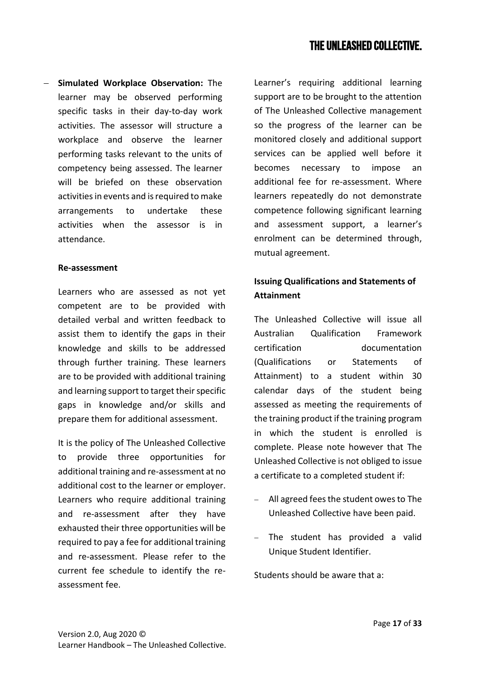− **Simulated Workplace Observation:** The learner may be observed performing specific tasks in their day-to-day work activities. The assessor will structure a workplace and observe the learner performing tasks relevant to the units of competency being assessed. The learner will be briefed on these observation activities in events and is required to make arrangements to undertake these activities when the assessor is in attendance.

#### <span id="page-16-0"></span>**Re-assessment**

Learners who are assessed as not yet competent are to be provided with detailed verbal and written feedback to assist them to identify the gaps in their knowledge and skills to be addressed through further training. These learners are to be provided with additional training and learning support to target their specific gaps in knowledge and/or skills and prepare them for additional assessment.

It is the policy of The Unleashed Collective to provide three opportunities for additional training and re-assessment at no additional cost to the learner or employer. Learners who require additional training and re-assessment after they have exhausted their three opportunities will be required to pay a fee for additional training and re-assessment. Please refer to the current fee schedule to identify the reassessment fee.

Learner's requiring additional learning support are to be brought to the attention of The Unleashed Collective management so the progress of the learner can be monitored closely and additional support services can be applied well before it becomes necessary to impose an additional fee for re-assessment. Where learners repeatedly do not demonstrate competence following significant learning and assessment support, a learner's enrolment can be determined through, mutual agreement.

## <span id="page-16-1"></span>**Issuing Qualifications and Statements of Attainment**

The Unleashed Collective will issue all Australian Qualification Framework certification documentation (Qualifications or Statements of Attainment) to a student within 30 calendar days of the student being assessed as meeting the requirements of the training product if the training program in which the student is enrolled is complete. Please note however that The Unleashed Collective is not obliged to issue a certificate to a completed student if:

- − All agreed fees the student owes to The Unleashed Collective have been paid.
- The student has provided a valid Unique Student Identifier.

Students should be aware that a: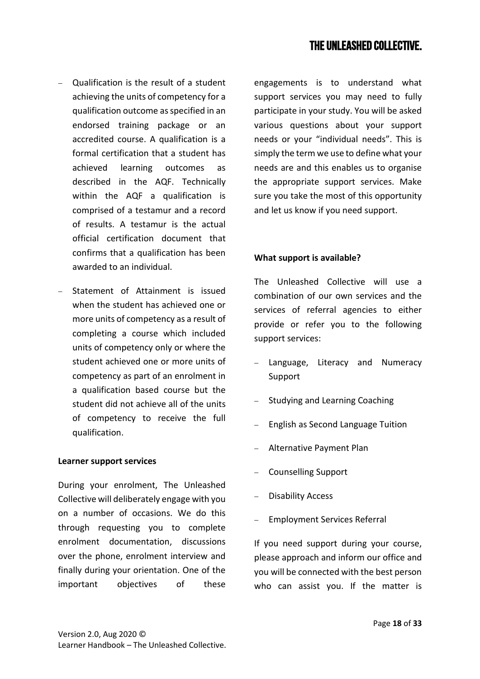- − Qualification is the result of a student achieving the units of competency for a qualification outcome as specified in an endorsed training package or an accredited course. A qualification is a formal certification that a student has achieved learning outcomes as described in the AQF. Technically within the AQF a qualification is comprised of a testamur and a record of results. A testamur is the actual official certification document that confirms that a qualification has been awarded to an individual.
- Statement of Attainment is issued when the student has achieved one or more units of competency as a result of completing a course which included units of competency only or where the student achieved one or more units of competency as part of an enrolment in a qualification based course but the student did not achieve all of the units of competency to receive the full qualification.

#### <span id="page-17-0"></span>**Learner support services**

During your enrolment, The Unleashed Collective will deliberately engage with you on a number of occasions. We do this through requesting you to complete enrolment documentation, discussions over the phone, enrolment interview and finally during your orientation. One of the important objectives of these engagements is to understand what support services you may need to fully participate in your study. You will be asked various questions about your support needs or your "individual needs". This is simply the term we use to define what your needs are and this enables us to organise the appropriate support services. Make sure you take the most of this opportunity and let us know if you need support.

#### **What support is available?**

The Unleashed Collective will use a combination of our own services and the services of referral agencies to either provide or refer you to the following support services:

- Language, Literacy and Numeracy Support
- − Studying and Learning Coaching
- English as Second Language Tuition
- − Alternative Payment Plan
- − Counselling Support
- − Disability Access
- Employment Services Referral

If you need support during your course, please approach and inform our office and you will be connected with the best person who can assist you. If the matter is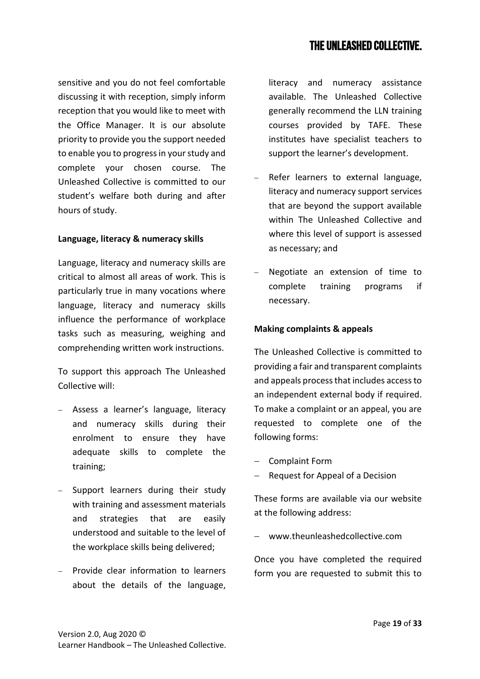sensitive and you do not feel comfortable discussing it with reception, simply inform reception that you would like to meet with the Office Manager. It is our absolute priority to provide you the support needed to enable you to progress in your study and complete your chosen course. The Unleashed Collective is committed to our student's welfare both during and after hours of study.

## <span id="page-18-0"></span>**Language, literacy & numeracy skills**

Language, literacy and numeracy skills are critical to almost all areas of work. This is particularly true in many vocations where language, literacy and numeracy skills influence the performance of workplace tasks such as measuring, weighing and comprehending written work instructions.

To support this approach The Unleashed Collective will:

- − Assess a learner's language, literacy and numeracy skills during their enrolment to ensure they have adequate skills to complete the training;
- − Support learners during their study with training and assessment materials and strategies that are easily understood and suitable to the level of the workplace skills being delivered;
- − Provide clear information to learners about the details of the language,

literacy and numeracy assistance available. The Unleashed Collective generally recommend the LLN training courses provided by TAFE. These institutes have specialist teachers to support the learner's development.

- Refer learners to external language, literacy and numeracy support services that are beyond the support available within The Unleashed Collective and where this level of support is assessed as necessary; and
- Negotiate an extension of time to complete training programs if necessary.

## <span id="page-18-1"></span>**Making complaints & appeals**

The Unleashed Collective is committed to providing a fair and transparent complaints and appeals process that includes access to an independent external body if required. To make a complaint or an appeal, you are requested to complete one of the following forms:

- − Complaint Form
- Request for Appeal of a Decision

These forms are available via our website at the following address:

− www.theunleashedcollective.com

Once you have completed the required form you are requested to submit this to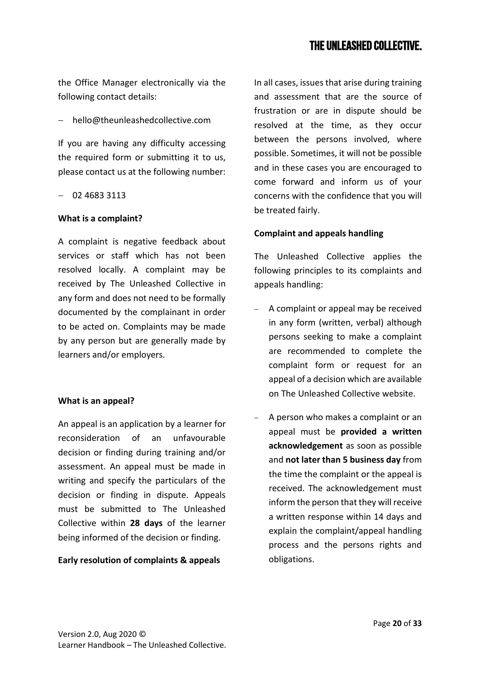the Office Manager electronically via the following contact details:

− hello@theunleashedcollective.com

If you are having any difficulty accessing the required form or submitting it to us, please contact us at the following number:

− 02 4683 3113

#### **What is a complaint?**

A complaint is negative feedback about services or staff which has not been resolved locally. A complaint may be received by The Unleashed Collective in any form and does not need to be formally documented by the complainant in order to be acted on. Complaints may be made by any person but are generally made by learners and/or employers.

## **What is an appeal?**

An appeal is an application by a learner for reconsideration of an unfavourable decision or finding during training and/or assessment. An appeal must be made in writing and specify the particulars of the decision or finding in dispute. Appeals must be submitted to The Unleashed Collective within **28 days** of the learner being informed of the decision or finding.

## **Early resolution of complaints & appeals**

In all cases, issues that arise during training and assessment that are the source of frustration or are in dispute should be resolved at the time, as they occur between the persons involved, where possible. Sometimes, it will not be possible and in these cases you are encouraged to come forward and inform us of your concerns with the confidence that you will be treated fairly.

## **Complaint and appeals handling**

The Unleashed Collective applies the following principles to its complaints and appeals handling:

- − A complaint or appeal may be received in any form (written, verbal) although persons seeking to make a complaint are recommended to complete the complaint form or request for an appeal of a decision which are available on The Unleashed Collective website.
- A person who makes a complaint or an appeal must be **provided a written acknowledgement** as soon as possible and **not later than 5 business day** from the time the complaint or the appeal is received. The acknowledgement must inform the person that they will receive a written response within 14 days and explain the complaint/appeal handling process and the persons rights and obligations.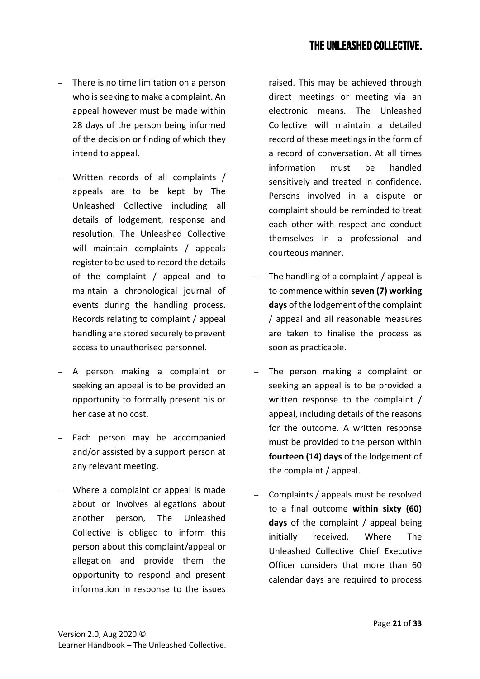- − There is no time limitation on a person who is seeking to make a complaint. An appeal however must be made within 28 days of the person being informed of the decision or finding of which they intend to appeal.
- Written records of all complaints / appeals are to be kept by The Unleashed Collective including all details of lodgement, response and resolution. The Unleashed Collective will maintain complaints / appeals register to be used to record the details of the complaint / appeal and to maintain a chronological journal of events during the handling process. Records relating to complaint / appeal handling are stored securely to prevent access to unauthorised personnel.
- − A person making a complaint or seeking an appeal is to be provided an opportunity to formally present his or her case at no cost.
- Each person may be accompanied and/or assisted by a support person at any relevant meeting.
- − Where a complaint or appeal is made about or involves allegations about another person, The Unleashed Collective is obliged to inform this person about this complaint/appeal or allegation and provide them the opportunity to respond and present information in response to the issues

raised. This may be achieved through direct meetings or meeting via an electronic means. The Unleashed Collective will maintain a detailed record of these meetings in the form of a record of conversation. At all times information must be handled sensitively and treated in confidence. Persons involved in a dispute or complaint should be reminded to treat each other with respect and conduct themselves in a professional and courteous manner.

- − The handling of a complaint / appeal is to commence within **seven (7) working days** of the lodgement of the complaint / appeal and all reasonable measures are taken to finalise the process as soon as practicable.
- The person making a complaint or seeking an appeal is to be provided a written response to the complaint / appeal, including details of the reasons for the outcome. A written response must be provided to the person within **fourteen (14) days** of the lodgement of the complaint / appeal.
- − Complaints / appeals must be resolved to a final outcome **within sixty (60) days** of the complaint / appeal being initially received. Where The Unleashed Collective Chief Executive Officer considers that more than 60 calendar days are required to process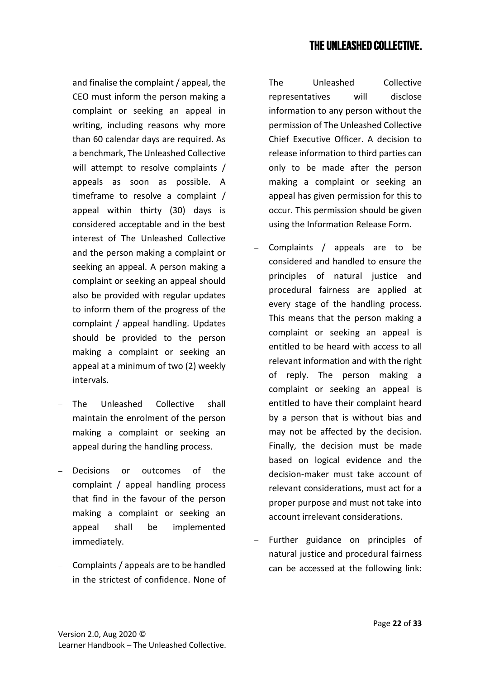and finalise the complaint / appeal, the CEO must inform the person making a complaint or seeking an appeal in writing, including reasons why more than 60 calendar days are required. As a benchmark, The Unleashed Collective will attempt to resolve complaints / appeals as soon as possible. A timeframe to resolve a complaint / appeal within thirty (30) days is considered acceptable and in the best interest of The Unleashed Collective and the person making a complaint or seeking an appeal. A person making a complaint or seeking an appeal should also be provided with regular updates to inform them of the progress of the complaint / appeal handling. Updates should be provided to the person making a complaint or seeking an appeal at a minimum of two (2) weekly intervals.

- The Unleashed Collective shall maintain the enrolment of the person making a complaint or seeking an appeal during the handling process.
- Decisions or outcomes of the complaint / appeal handling process that find in the favour of the person making a complaint or seeking an appeal shall be implemented immediately.
- − Complaints / appeals are to be handled in the strictest of confidence. None of

The Unleashed Collective representatives will disclose information to any person without the permission of The Unleashed Collective Chief Executive Officer. A decision to release information to third parties can only to be made after the person making a complaint or seeking an appeal has given permission for this to occur. This permission should be given using the Information Release Form.

- − Complaints / appeals are to be considered and handled to ensure the principles of natural justice and procedural fairness are applied at every stage of the handling process. This means that the person making a complaint or seeking an appeal is entitled to be heard with access to all relevant information and with the right of reply. The person making a complaint or seeking an appeal is entitled to have their complaint heard by a person that is without bias and may not be affected by the decision. Finally, the decision must be made based on logical evidence and the decision-maker must take account of relevant considerations, must act for a proper purpose and must not take into account irrelevant considerations.
- − Further guidance on principles of natural justice and procedural fairness can be accessed at the following link: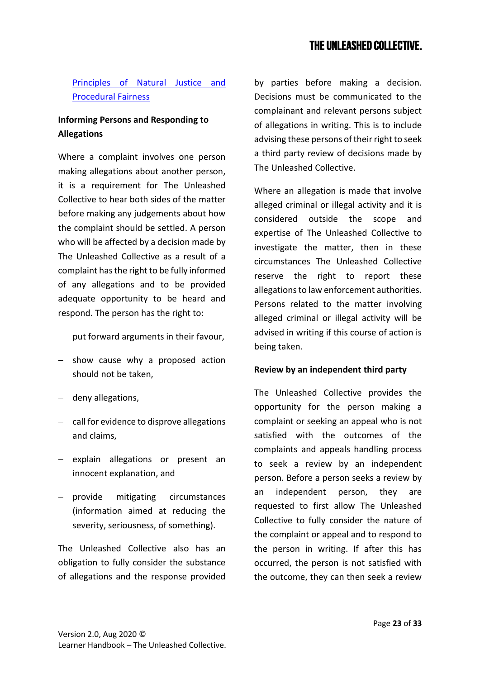## [Principles of Natural Justice and](http://www.ombo.nsw.gov.au/__data/assets/pdf_file/0017/3707/FS_PSA_14_Natural_justice_Procedural_fairness.pdf)  [Procedural Fairness](http://www.ombo.nsw.gov.au/__data/assets/pdf_file/0017/3707/FS_PSA_14_Natural_justice_Procedural_fairness.pdf)

## **Informing Persons and Responding to Allegations**

Where a complaint involves one person making allegations about another person, it is a requirement for The Unleashed Collective to hear both sides of the matter before making any judgements about how the complaint should be settled. A person who will be affected by a decision made by The Unleashed Collective as a result of a complaint has the right to be fully informed of any allegations and to be provided adequate opportunity to be heard and respond. The person has the right to:

- − put forward arguments in their favour,
- − show cause why a proposed action should not be taken,
- − deny allegations,
- − call for evidence to disprove allegations and claims,
- − explain allegations or present an innocent explanation, and
- − provide mitigating circumstances (information aimed at reducing the severity, seriousness, of something).

The Unleashed Collective also has an obligation to fully consider the substance of allegations and the response provided

by parties before making a decision. Decisions must be communicated to the complainant and relevant persons subject of allegations in writing. This is to include advising these persons of their right to seek a third party review of decisions made by The Unleashed Collective.

Where an allegation is made that involve alleged criminal or illegal activity and it is considered outside the scope and expertise of The Unleashed Collective to investigate the matter, then in these circumstances The Unleashed Collective reserve the right to report these allegations to law enforcement authorities. Persons related to the matter involving alleged criminal or illegal activity will be advised in writing if this course of action is being taken.

## **Review by an independent third party**

The Unleashed Collective provides the opportunity for the person making a complaint or seeking an appeal who is not satisfied with the outcomes of the complaints and appeals handling process to seek a review by an independent person. Before a person seeks a review by an independent person, they are requested to first allow The Unleashed Collective to fully consider the nature of the complaint or appeal and to respond to the person in writing. If after this has occurred, the person is not satisfied with the outcome, they can then seek a review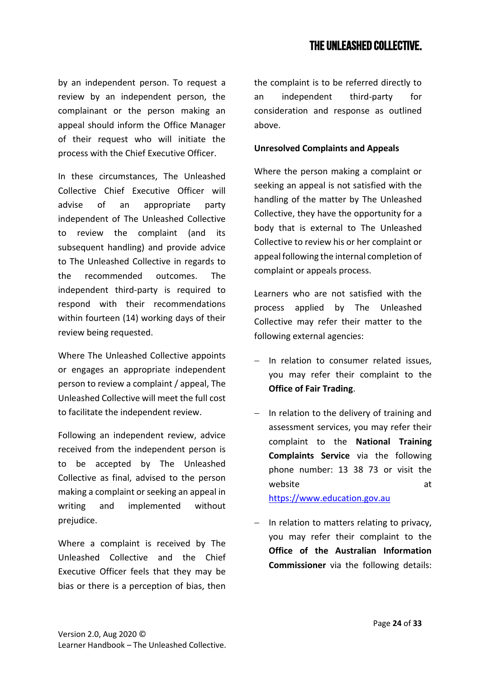by an independent person. To request a review by an independent person, the complainant or the person making an appeal should inform the Office Manager of their request who will initiate the process with the Chief Executive Officer.

In these circumstances, The Unleashed Collective Chief Executive Officer will advise of an appropriate party independent of The Unleashed Collective to review the complaint (and its subsequent handling) and provide advice to The Unleashed Collective in regards to the recommended outcomes. The independent third-party is required to respond with their recommendations within fourteen (14) working days of their review being requested.

Where The Unleashed Collective appoints or engages an appropriate independent person to review a complaint / appeal, The Unleashed Collective will meet the full cost to facilitate the independent review.

Following an independent review, advice received from the independent person is to be accepted by The Unleashed Collective as final, advised to the person making a complaint or seeking an appeal in writing and implemented without prejudice.

Where a complaint is received by The Unleashed Collective and the Chief Executive Officer feels that they may be bias or there is a perception of bias, then the complaint is to be referred directly to an independent third-party for consideration and response as outlined above.

## **Unresolved Complaints and Appeals**

Where the person making a complaint or seeking an appeal is not satisfied with the handling of the matter by The Unleashed Collective, they have the opportunity for a body that is external to The Unleashed Collective to review his or her complaint or appeal following the internal completion of complaint or appeals process.

Learners who are not satisfied with the process applied by The Unleashed Collective may refer their matter to the following external agencies:

- In relation to consumer related issues. you may refer their complaint to the **Office of Fair Trading**.
- − In relation to the delivery of training and assessment services, you may refer their complaint to the **National Training Complaints Service** via the following phone number: 13 38 73 or visit the website at a control of the state at a control of the state at a control of the state at a control of the state at a control of the state at a control of the state at a control of the state at a control of the state at a c [https://www.education.gov.au](https://www.education.gov.au/NTCH)
- − In relation to matters relating to privacy, you may refer their complaint to the **Office of the Australian Information Commissioner** via the following details: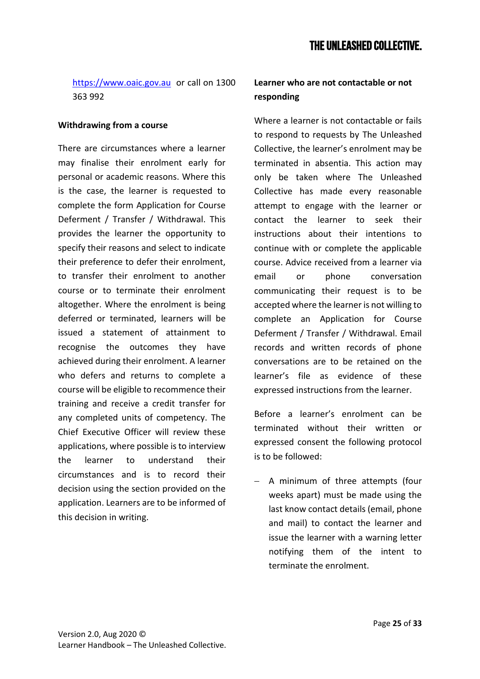## [https://www.oaic.gov.au](https://www.oaic.gov.au/individuals/how-do-i-make-a-privacy-complaint) or call on 1300 363 992

#### <span id="page-24-0"></span>**Withdrawing from a course**

There are circumstances where a learner may finalise their enrolment early for personal or academic reasons. Where this is the case, the learner is requested to complete the form Application for Course Deferment / Transfer / Withdrawal. This provides the learner the opportunity to specify their reasons and select to indicate their preference to defer their enrolment, to transfer their enrolment to another course or to terminate their enrolment altogether. Where the enrolment is being deferred or terminated, learners will be issued a statement of attainment to recognise the outcomes they have achieved during their enrolment. A learner who defers and returns to complete a course will be eligible to recommence their training and receive a credit transfer for any completed units of competency. The Chief Executive Officer will review these applications, where possible is to interview the learner to understand their circumstances and is to record their decision using the section provided on the application. Learners are to be informed of this decision in writing.

## <span id="page-24-1"></span>**Learner who are not contactable or not responding**

Where a learner is not contactable or fails to respond to requests by The Unleashed Collective, the learner's enrolment may be terminated in absentia. This action may only be taken where The Unleashed Collective has made every reasonable attempt to engage with the learner or contact the learner to seek their instructions about their intentions to continue with or complete the applicable course. Advice received from a learner via email or phone conversation communicating their request is to be accepted where the learner is not willing to complete an Application for Course Deferment / Transfer / Withdrawal. Email records and written records of phone conversations are to be retained on the learner's file as evidence of these expressed instructions from the learner.

Before a learner's enrolment can be terminated without their written or expressed consent the following protocol is to be followed:

− A minimum of three attempts (four weeks apart) must be made using the last know contact details (email, phone and mail) to contact the learner and issue the learner with a warning letter notifying them of the intent to terminate the enrolment.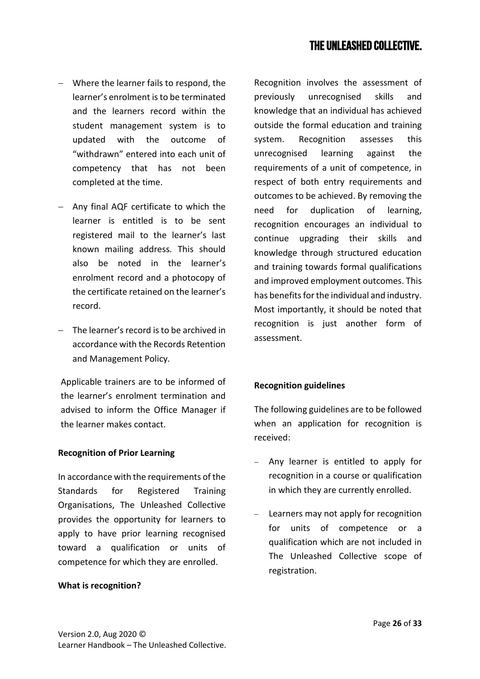- − Where the learner fails to respond, the learner's enrolment is to be terminated and the learners record within the student management system is to updated with the outcome of "withdrawn" entered into each unit of competency that has not been completed at the time.
- − Any final AQF certificate to which the learner is entitled is to be sent registered mail to the learner's last known mailing address. This should also be noted in the learner's enrolment record and a photocopy of the certificate retained on the learner's record.
- − The learner's record is to be archived in accordance with the Records Retention and Management Policy.

Applicable trainers are to be informed of the learner's enrolment termination and advised to inform the Office Manager if the learner makes contact.

## <span id="page-25-0"></span>**Recognition of Prior Learning**

In accordance with the requirements of the Standards for Registered Training Organisations, The Unleashed Collective provides the opportunity for learners to apply to have prior learning recognised toward a qualification or units of competence for which they are enrolled.

## **What is recognition?**

Recognition involves the assessment of previously unrecognised skills and knowledge that an individual has achieved outside the formal education and training system. Recognition assesses this unrecognised learning against the requirements of a unit of competence, in respect of both entry requirements and outcomes to be achieved. By removing the need for duplication of learning, recognition encourages an individual to continue upgrading their skills and knowledge through structured education and training towards formal qualifications and improved employment outcomes. This has benefits for the individual and industry. Most importantly, it should be noted that recognition is just another form of assessment.

## **Recognition guidelines**

The following guidelines are to be followed when an application for recognition is received:

- Any learner is entitled to apply for recognition in a course or qualification in which they are currently enrolled.
- Learners may not apply for recognition for units of competence or a qualification which are not included in The Unleashed Collective scope of registration.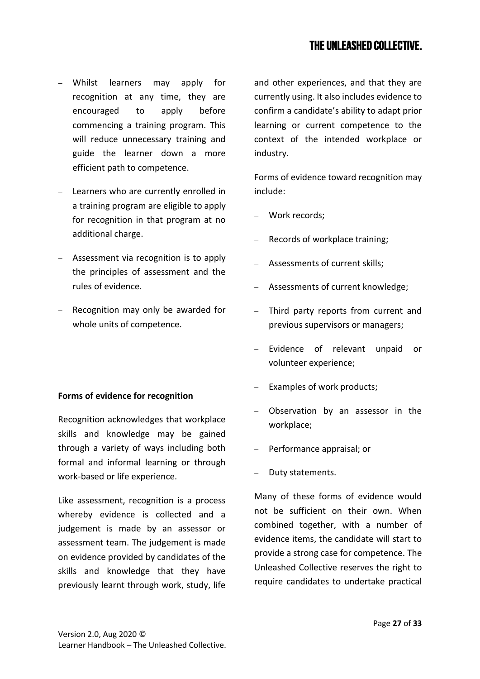- − Whilst learners may apply for recognition at any time, they are encouraged to apply before commencing a training program. This will reduce unnecessary training and guide the learner down a more efficient path to competence.
- − Learners who are currently enrolled in a training program are eligible to apply for recognition in that program at no additional charge.
- − Assessment via recognition is to apply the principles of assessment and the rules of evidence.
- − Recognition may only be awarded for whole units of competence.

## **Forms of evidence for recognition**

Recognition acknowledges that workplace skills and knowledge may be gained through a variety of ways including both formal and informal learning or through work-based or life experience.

Like assessment, recognition is a process whereby evidence is collected and a judgement is made by an assessor or assessment team. The judgement is made on evidence provided by candidates of the skills and knowledge that they have previously learnt through work, study, life and other experiences, and that they are currently using. It also includes evidence to confirm a candidate's ability to adapt prior learning or current competence to the context of the intended workplace or industry.

Forms of evidence toward recognition may include:

- − Work records;
- Records of workplace training;
- − Assessments of current skills;
- − Assessments of current knowledge;
- − Third party reports from current and previous supervisors or managers;
- Evidence of relevant unpaid or volunteer experience;
- Examples of work products;
- − Observation by an assessor in the workplace;
- − Performance appraisal; or
- − Duty statements.

Many of these forms of evidence would not be sufficient on their own. When combined together, with a number of evidence items, the candidate will start to provide a strong case for competence. The Unleashed Collective reserves the right to require candidates to undertake practical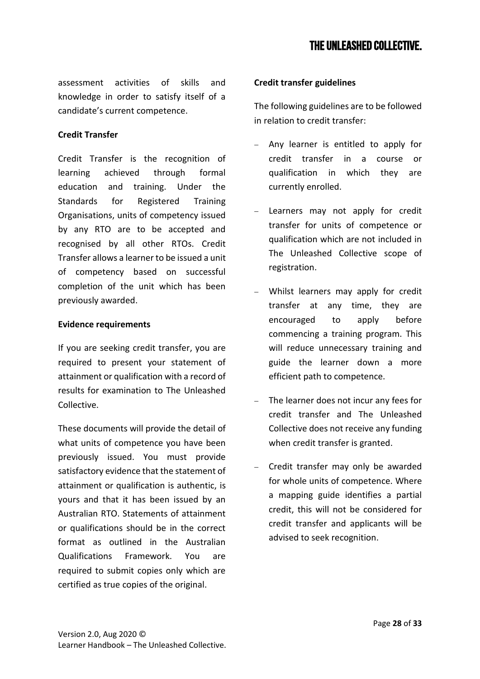assessment activities of skills and knowledge in order to satisfy itself of a candidate's current competence.

## **Credit Transfer**

Credit Transfer is the recognition of learning achieved through formal education and training. Under the Standards for Registered Training Organisations, units of competency issued by any RTO are to be accepted and recognised by all other RTOs. Credit Transfer allows a learner to be issued a unit of competency based on successful completion of the unit which has been previously awarded.

## **Evidence requirements**

If you are seeking credit transfer, you are required to present your statement of attainment or qualification with a record of results for examination to The Unleashed Collective.

These documents will provide the detail of what units of competence you have been previously issued. You must provide satisfactory evidence that the statement of attainment or qualification is authentic, is yours and that it has been issued by an Australian RTO. Statements of attainment or qualifications should be in the correct format as outlined in the Australian Qualifications Framework. You are required to submit copies only which are certified as true copies of the original.

## **Credit transfer guidelines**

The following guidelines are to be followed in relation to credit transfer:

- Any learner is entitled to apply for credit transfer in a course or qualification in which they are currently enrolled.
- Learners may not apply for credit transfer for units of competence or qualification which are not included in The Unleashed Collective scope of registration.
- Whilst learners may apply for credit transfer at any time, they are encouraged to apply before commencing a training program. This will reduce unnecessary training and guide the learner down a more efficient path to competence.
- The learner does not incur any fees for credit transfer and The Unleashed Collective does not receive any funding when credit transfer is granted.
- − Credit transfer may only be awarded for whole units of competence. Where a mapping guide identifies a partial credit, this will not be considered for credit transfer and applicants will be advised to seek recognition.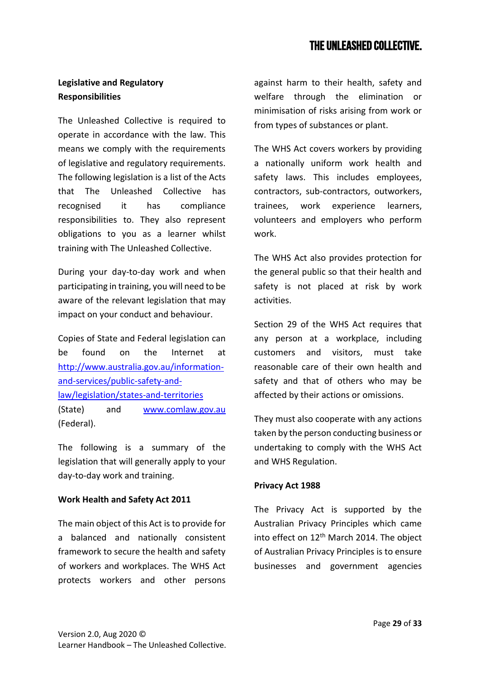## <span id="page-28-0"></span>**Legislative and Regulatory Responsibilities**

The Unleashed Collective is required to operate in accordance with the law. This means we comply with the requirements of legislative and regulatory requirements. The following legislation is a list of the Acts that The Unleashed Collective has recognised it has compliance responsibilities to. They also represent obligations to you as a learner whilst training with The Unleashed Collective.

During your day-to-day work and when participating in training, you will need to be aware of the relevant legislation that may impact on your conduct and behaviour.

Copies of State and Federal legislation can be found on the Internet at [http://www.australia.gov.au/information](http://www.australia.gov.au/information-and-services/public-safety-and-law/legislation/states-and-territories)[and-services/public-safety-and](http://www.australia.gov.au/information-and-services/public-safety-and-law/legislation/states-and-territories)[law/legislation/states-and-territories](http://www.australia.gov.au/information-and-services/public-safety-and-law/legislation/states-and-territories)  (State) and [www.comlaw.gov.au](http://www.comlaw.gov.au/) (Federal).

The following is a summary of the legislation that will generally apply to your day-to-day work and training.

## **Work Health and Safety Act 2011**

The main object of this Act is to provide for a balanced and nationally consistent framework to secure the health and safety of workers and workplaces. The WHS Act protects workers and other persons against harm to their health, safety and welfare through the elimination or minimisation of risks arising from work or from types of substances or plant.

The WHS Act covers workers by providing a nationally uniform work health and safety laws. This includes employees, contractors, sub-contractors, outworkers, trainees, work experience learners, volunteers and employers who perform work.

The WHS Act also provides protection for the general public so that their health and safety is not placed at risk by work activities.

Section 29 of the WHS Act requires that any person at a workplace, including customers and visitors, must take reasonable care of their own health and safety and that of others who may be affected by their actions or omissions.

They must also cooperate with any actions taken by the person conducting business or undertaking to comply with the WHS Act and WHS Regulation.

## **Privacy Act 1988**

The Privacy Act is supported by the Australian Privacy Principles which came into effect on  $12<sup>th</sup>$  March 2014. The object of Australian Privacy Principles is to ensure businesses and government agencies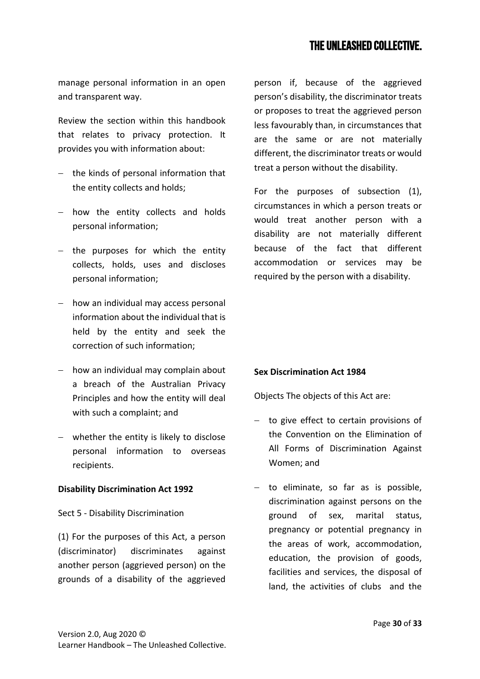manage personal information in an open and transparent way.

Review the section within this handbook that relates to privacy protection. It provides you with information about:

- − the kinds of personal information that the entity collects and holds;
- − how the entity collects and holds personal information;
- − the purposes for which the entity collects, holds, uses and discloses personal information;
- − how an individual may access personal information about the individual that is held by the entity and seek the correction of such information;
- − how an individual may complain about a breach of the Australian Privacy Principles and how the entity will deal with such a complaint; and
- − whether the entity is likely to disclose personal information to overseas recipients.

## **Disability Discrimination Act 1992**

Sect 5 - Disability Discrimination

(1) For the purposes of this Act, a person (discriminator) discriminates against another person (aggrieved person) on the grounds of a disability of the aggrieved

person if, because of the aggrieved person's disability, the discriminator treats or proposes to treat the aggrieved person less favourably than, in circumstances that are the same or are not materially different, the discriminator treats or would treat a person without the disability.

For the purposes of subsection (1), circumstances in which a person treats or would treat another person with a disability are not materially different because of the fact that different accommodation or services may be required by the person with a disability.

## **Sex Discrimination Act 1984**

Objects The objects of this Act are:

- − to give effect to certain provisions of the Convention on the Elimination of All Forms of Discrimination Against Women; and
- − to eliminate, so far as is possible, discrimination against persons on the ground of sex, marital status, pregnancy or potential pregnancy in the areas of work, accommodation, education, the provision of goods, facilities and services, the disposal of land, the activities of clubs and the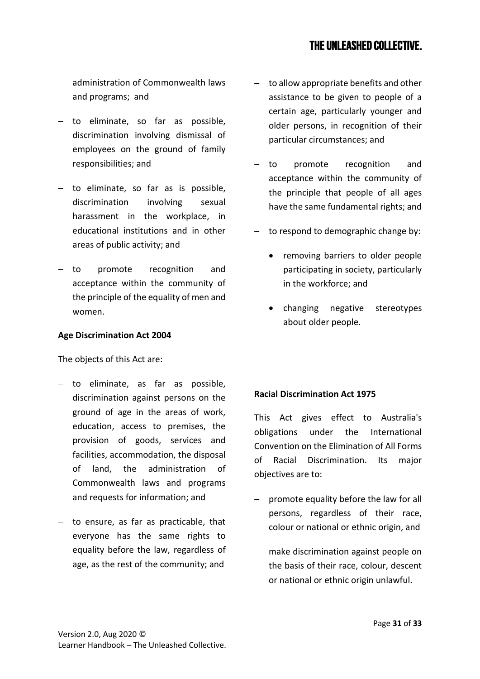administration of Commonwealth laws and programs; and

- − to eliminate, so far as possible, discrimination involving dismissal of employees on the ground of family responsibilities; and
- − to eliminate, so far as is possible, discrimination involving sexual harassment in the workplace, in educational institutions and in other areas of public activity; and
- − to promote recognition and acceptance within the community of the principle of the equality of men and women.

#### **Age Discrimination Act 2004**

The objects of this Act are:

- − to eliminate, as far as possible, discrimination against persons on the ground of age in the areas of work, education, access to premises, the provision of goods, services and facilities, accommodation, the disposal of land, the administration of Commonwealth laws and programs and requests for information; and
- − to ensure, as far as practicable, that everyone has the same rights to equality before the law, regardless of age, as the rest of the community; and
- to allow appropriate benefits and other assistance to be given to people of a certain age, particularly younger and older persons, in recognition of their particular circumstances; and
- − to promote recognition and acceptance within the community of the principle that people of all ages have the same fundamental rights; and
- to respond to demographic change by:
	- removing barriers to older people participating in society, particularly in the workforce; and
	- changing negative stereotypes about older people.

## **Racial Discrimination Act 1975**

This Act gives effect to Australia's obligations under the International Convention on the Elimination of All Forms of Racial Discrimination. Its major objectives are to:

- promote equality before the law for all persons, regardless of their race, colour or national or ethnic origin, and
- − make discrimination against people on the basis of their race, colour, descent or national or ethnic origin unlawful.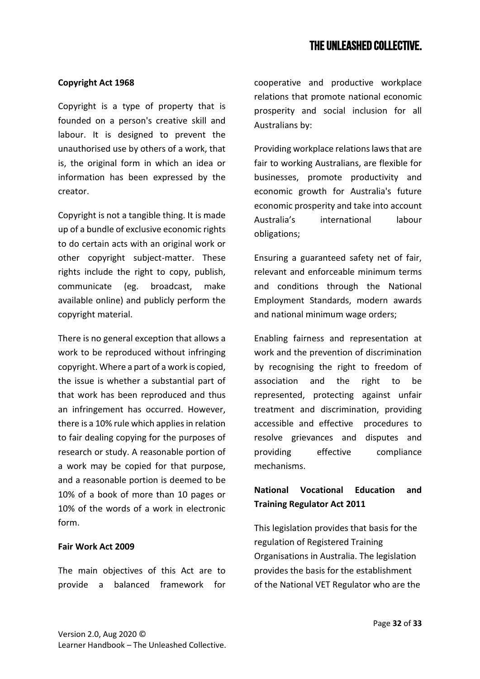## **Copyright Act 1968**

Copyright is a type of property that is founded on a person's creative skill and labour. It is designed to prevent the unauthorised use by others of a work, that is, the original form in which an idea or information has been expressed by the creator.

Copyright is not a tangible thing. It is made up of a bundle of exclusive economic rights to do certain acts with an original work or other copyright subject-matter. These rights include the right to copy, publish, communicate (eg. broadcast, make available online) and publicly perform the copyright material.

There is no general exception that allows a work to be reproduced without infringing copyright. Where a part of a work is copied, the issue is whether a substantial part of that work has been reproduced and thus an infringement has occurred. However, there is a 10% rule which applies in relation to fair dealing copying for the purposes of research or study. A reasonable portion of a work may be copied for that purpose, and a reasonable portion is deemed to be 10% of a book of more than 10 pages or 10% of the words of a work in electronic form.

#### **Fair Work Act 2009**

The main objectives of this Act are to provide a balanced framework for cooperative and productive workplace relations that promote national economic prosperity and social inclusion for all Australians by:

Providing workplace relations laws that are fair to working Australians, are flexible for businesses, promote productivity and economic growth for Australia's future economic prosperity and take into account Australia's international labour obligations;

Ensuring a guaranteed safety net of fair, relevant and enforceable minimum terms and conditions through the National Employment Standards, modern awards and national minimum wage orders;

Enabling fairness and representation at work and the prevention of discrimination by recognising the right to freedom of association and the right to be represented, protecting against unfair treatment and discrimination, providing accessible and effective procedures to resolve grievances and disputes and providing effective compliance mechanisms.

## **National Vocational Education and Training Regulator Act 2011**

This legislation provides that basis for the regulation of Registered Training Organisations in Australia. The legislation provides the basis for the establishment of the National VET Regulator who are the